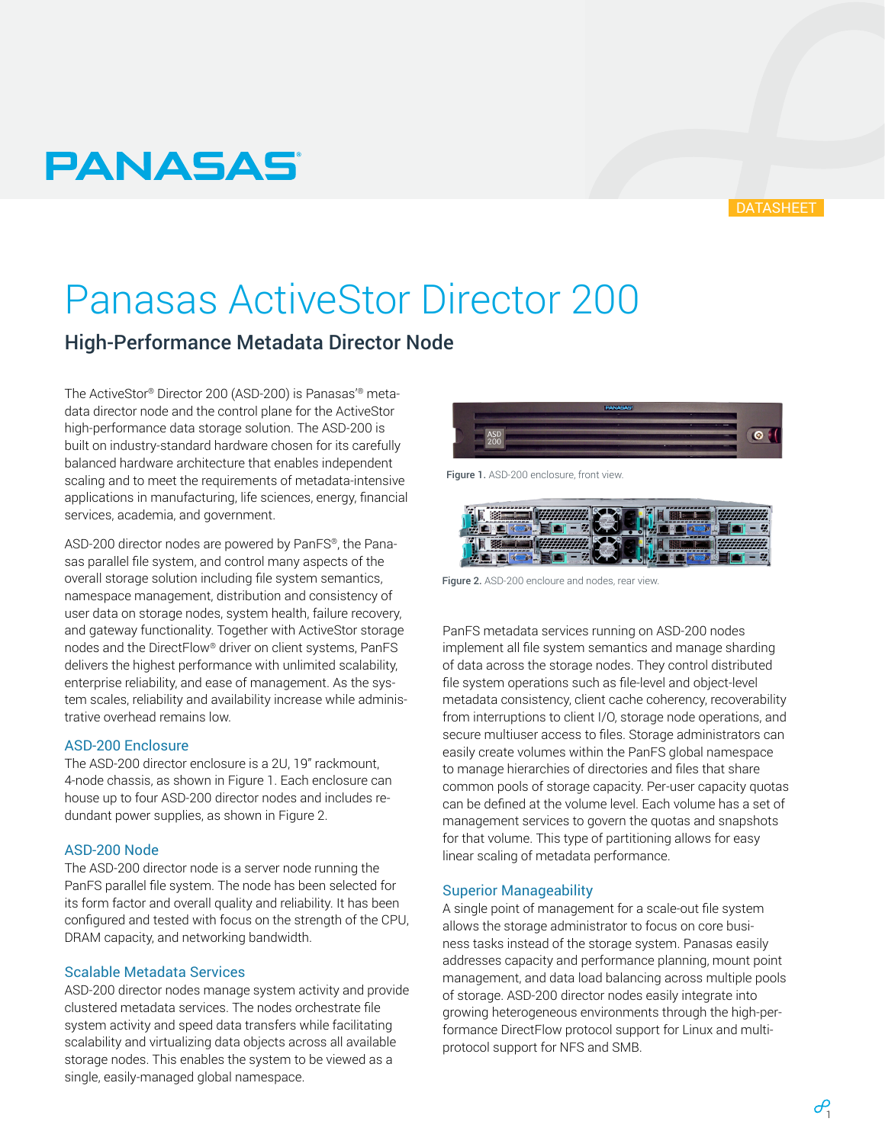# $\mathcal{P}$

# **PANASAS**

# Panasas ActiveStor Director 200

# High-Performance Metadata Director Node

The ActiveStor® Director 200 (ASD-200) is Panasas'® metadata director node and the control plane for the ActiveStor high-performance data storage solution. The ASD-200 is built on industry-standard hardware chosen for its carefully balanced hardware architecture that enables independent scaling and to meet the requirements of metadata-intensive applications in manufacturing, life sciences, energy, financial services, academia, and government.

ASD-200 director nodes are powered by PanFS®, the Panasas parallel file system, and control many aspects of the overall storage solution including file system semantics, namespace management, distribution and consistency of user data on storage nodes, system health, failure recovery, and gateway functionality. Together with ActiveStor storage nodes and the DirectFlow® driver on client systems, PanFS delivers the highest performance with unlimited scalability, enterprise reliability, and ease of management. As the system scales, reliability and availability increase while administrative overhead remains low.

### ASD-200 Enclosure

The ASD-200 director enclosure is a 2U, 19" rackmount, 4-node chassis, as shown in Figure 1. Each enclosure can house up to four ASD-200 director nodes and includes redundant power supplies, as shown in Figure 2.

### ASD-200 Node

The ASD-200 director node is a server node running the PanFS parallel file system. The node has been selected for its form factor and overall quality and reliability. It has been configured and tested with focus on the strength of the CPU, DRAM capacity, and networking bandwidth.

### Scalable Metadata Services

ASD-200 director nodes manage system activity and provide clustered metadata services. The nodes orchestrate file system activity and speed data transfers while facilitating scalability and virtualizing data objects across all available storage nodes. This enables the system to be viewed as a single, easily-managed global namespace.

# Figure 1. ASD-200 enclosure, front view.



Figure 2. ASD-200 encloure and nodes, rear view.

PanFS metadata services running on ASD-200 nodes implement all file system semantics and manage sharding of data across the storage nodes. They control distributed file system operations such as file-level and object-level metadata consistency, client cache coherency, recoverability from interruptions to client I/O, storage node operations, and secure multiuser access to files. Storage administrators can easily create volumes within the PanFS global namespace to manage hierarchies of directories and files that share common pools of storage capacity. Per-user capacity quotas can be defined at the volume level. Each volume has a set of management services to govern the quotas and snapshots for that volume. This type of partitioning allows for easy linear scaling of metadata performance.

### Superior Manageability

A single point of management for a scale-out file system allows the storage administrator to focus on core business tasks instead of the storage system. Panasas easily addresses capacity and performance planning, mount point management, and data load balancing across multiple pools of storage. ASD-200 director nodes easily integrate into growing heterogeneous environments through the high-performance DirectFlow protocol support for Linux and multiprotocol support for NFS and SMB.



**DATASHEET**